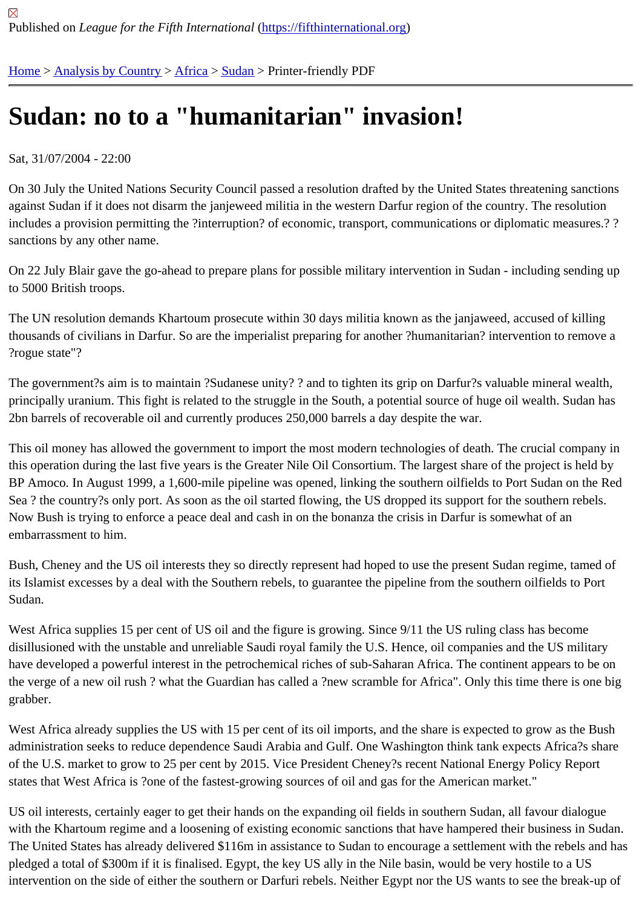## [Su](https://fifthinternational.org/)[dan: no to](https://fifthinternational.org/category/1) [a "hu](https://fifthinternational.org/category/1/1)[ma](https://fifthinternational.org/category/1/1/48)nitarian" invasion!

Sat, 31/07/2004 - 22:00

On 30 July the United Nations Security Council passed a resolution drafted by the United States threatening sanct against Sudan if it does not disarm the janjeweed militia in the western Darfur region of the country. The resolution includes a provision permitting the ?interruption? of economic, transport, communications or diplomatic measures. sanctions by any other name.

On 22 July Blair gave the go-ahead to prepare plans for possible military intervention in Sudan - including sending up to 5000 British troops.

The UN resolution demands Khartoum prosecute within 30 days militia known as the janjaweed, accused of killing thousands of civilians in Darfur. So are the imperialist preparing for another ?humanitarian? intervention to remove a ?rogue state"?

The government?s aim is to maintain ?Sudanese unity? ? and to tighten its grip on Darfur?s valuable mineral wealth, principally uranium. This fight is related to the struggle in the South, a potential source of huge oil wealth. Sudan h 2bn barrels of recoverable oil and currently produces 250,000 barrels a day despite the war.

This oil money has allowed the government to import the most modern technologies of death. The crucial compan this operation during the last five years is the Greater Nile Oil Consortium. The largest share of the project is held b BP Amoco. In August 1999, a 1,600-mile pipeline was opened, linking the southern oilfields to Port Sudan on the F Sea ? the country?s only port. As soon as the oil started flowing, the US dropped its support for the southern rebel Now Bush is trying to enforce a peace deal and cash in on the bonanza the crisis in Darfur is somewhat of an embarrassment to him.

Bush, Cheney and the US oil interests they so directly represent had hoped to use the present Sudan regime, tam its Islamist excesses by a deal with the Southern rebels, to guarantee the pipeline from the southern oilfields to Po Sudan.

West Africa supplies 15 per cent of US oil and the figure is growing. Since 9/11 the US ruling class has become disillusioned with the unstable and unreliable Saudi royal family the U.S. Hence, oil companies and the US military have developed a powerful interest in the petrochemical riches of sub-Saharan Africa. The continent appears to be the verge of a new oil rush? what the Guardian has called a ?new scramble for Africa". Only this time there is one grabber.

West Africa already supplies the US with 15 per cent of its oil imports, and the share is expected to grow as the Bu administration seeks to reduce dependence Saudi Arabia and Gulf. One Washington think tank expects Africa?s s of the U.S. market to grow to 25 per cent by 2015. Vice President Cheney?s recent National Energy Policy Report states that West Africa is ?one of the fastest-growing sources of oil and gas for the American market."

US oil interests, certainly eager to get their hands on the expanding oil fields in southern Sudan, all favour dialogue with the Khartoum regime and a loosening of existing economic sanctions that have hampered their business in S The United States has already delivered \$116m in assistance to Sudan to encourage a settlement with the rebels pledged a total of \$300m if it is finalised. Egypt, the key US ally in the Nile basin, would be very hostile to a US intervention on the side of either the southern or Darfuri rebels. Neither Egypt nor the US wants to see the break-u